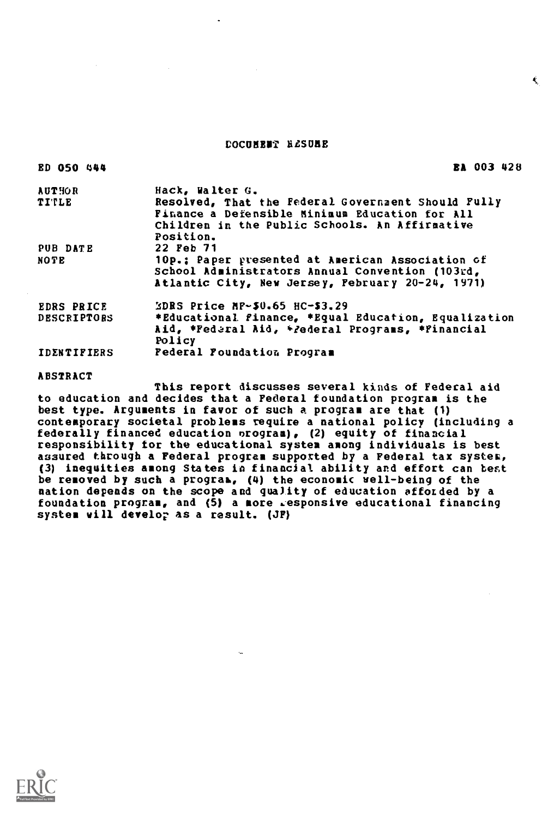#### COCUMENT RdSUME

€.

| <b>ED 050 444</b>  | <b>EA 003 428</b>                                    |
|--------------------|------------------------------------------------------|
| <b>AUTHOR</b>      | Hack, Walter G.                                      |
| <b>TITLE</b>       | Resolved, That the Federal Government Should Fully   |
|                    | Finance a Defensible Minimum Education for All       |
|                    | Children in the Public Schools. An Affirmative       |
|                    | Position.                                            |
| PUB DATE           | 22 Feb 71                                            |
| NOTE               | 10p.; Paper presented at American Association of     |
|                    | School Administrators Annual Convention (103rd,      |
|                    | Atlantic City, New Jersey, February 20-24, 1971)     |
| <b>EDRS PRICE</b>  | EDRS Price MP-\$0.65 HC-\$3.29                       |
| <b>DESCRIPTORS</b> | *Educational finance, *Equal Education, Equalization |
|                    | Aid, *Pederal Aid, *Pederal Programs, *Pinancial     |
|                    | Policy                                               |
| <b>IDENTIFIERS</b> | Pederal Foundation Program                           |

### ABSTRACT

This report discusses several kinds of Federal aid to education and decides that a Federal foundation program is the best type. Arguments in favor of such a program are that (1) contemporary societal problems require a national policy (including a federally financed education program), (2) equity of financial responsibility for the educational system among individuals is best assured through a Federal program supported by a Federal tax system, (3) inequities among States in financial ability and effort can best be removed by such a progras, (4) the economic well-being of the nation depends on the scope and quality of education afforded by a foundation program, and (5) a more responsive educational financing system will develop as a result. (JF)

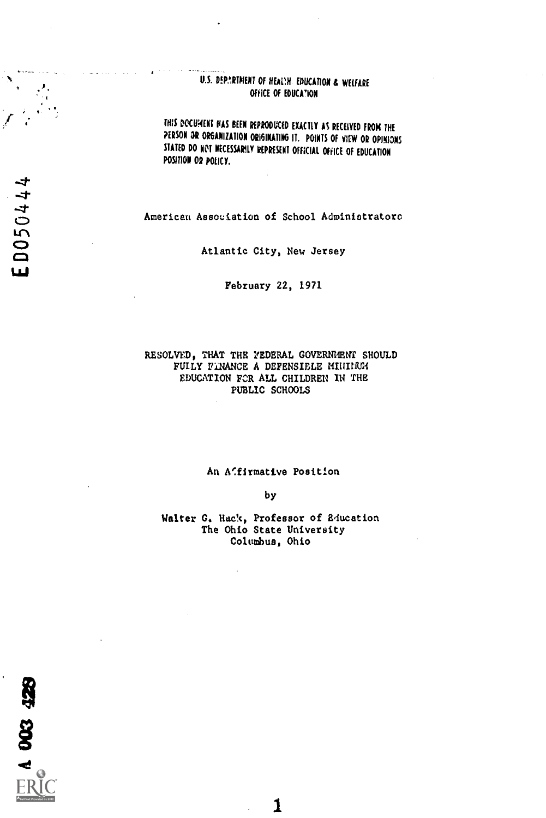# U.S. DEPERTMENT OF HEALM EDUCATION & WELFARE OFFICE OF EDUCATION

THIS DOCURENT HAS BEEN REPRODUCED EXACTLY AS RECEIVED IRON THE PERSON OR ORGANIZATION ORIGINATING IT. POINTS OF VIEW OR OPINIONS STATED DO NOT NECESSARILY REPRESENT OFFICIAL OFFICE OF EDUCATION POSITION 02 POLICY.

American Association of School Administratorc

Atlantic City, New Jersey

February 22, 1971

# RESOLVED, THAT THE PEDERAL GOVERMENT SHOULD FULLY FINANCE A DEFENSIBLE MINIMUM EDUCATION FOR ALL CHILDREN IN THE PUBLIC SCHOOLS

#### An Affirmative Position

by

Walter G. Hack, Professor of Education The Ohio State University Columbus, Ohio

 $\mathbf 1$ 

 $\frac{4}{9}$ 

ED050444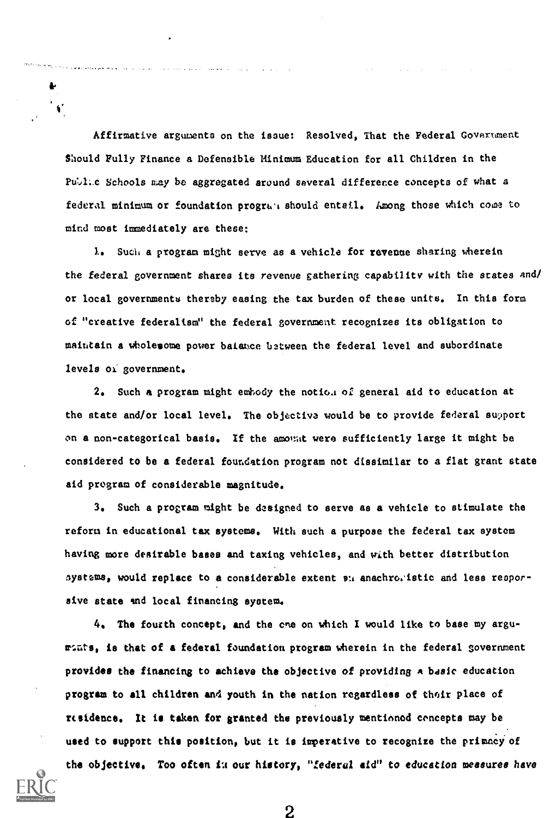Affirmative arguments on the issue: Resolved, That the Federal Government Should Fully Finance a Defenaible Minimum Education for all Children in the Public Schools may be aggregated around several difference concepts of what a federal minimum or foundation program should entail. Among those which come to mind most immediately are these:

1. Such a program might serve as a vehicle for revenue sharing wherein the federal government shares its revenue gathering capability with the states and/ or local governments thereby easing the tax burden of these units. In this form of "creative federalism" the federal government recognizes its obligation to maintain a wholesome power balance between the federal level and subordinate levels of government.

2. Such a program might emhody the notioa of general aid to education at the state and/or local level. The objective would be to provide federal support on a non-categorical basis. If the amount were sufficiently large it might be considered to be a federal foundation program not dissimilar to a flat grant state aid program of considerable magnitude.

3. Such a program night be designed to serve as a vehicle to stimulate the reform in educational tax systems. With such a purpose the federal tax system having more desirable bases and taxing vehicles, and with better distribution systems, would replace to a considerable extent su anachro. istic and less resporsive state and local financing system.

4, The fourth concept, and the one on which I would like to base my argumsats, is that of a federal foundation program wherein in the federal government provides the financing to achieve the objective of providing A basic education program to all children and youth in the nation regardless of their place of residence, It is taken for granted the previously mentioned concepts may be used to support this position, but it is imperative to recognize the primacy of the objective. Too often in our history, "federal aid" to education measures have

ŀ  $\mathbf{G}^{\dagger}$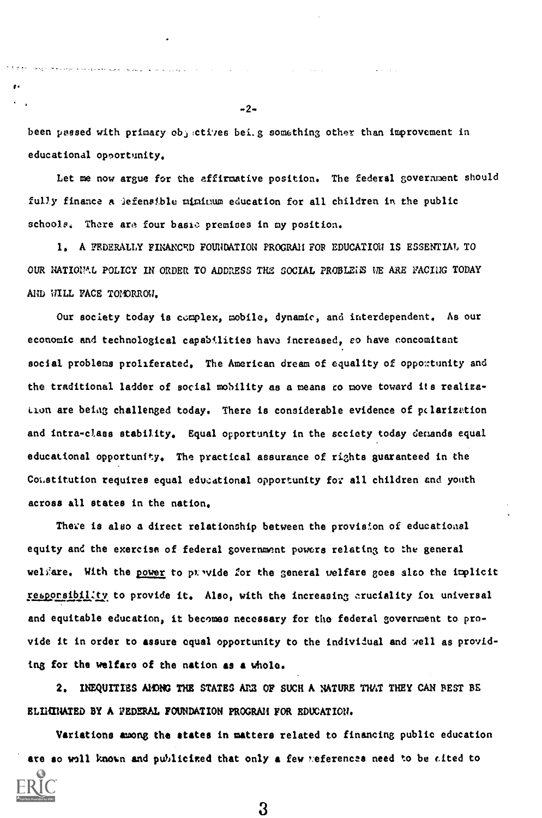been passed with primary objectives beilg something other than improvement in educational opportunity.

Let me now argue for the affirmative position. The federal government should fully finance a lefensible minimum education for all children in the public schools. There are four basic premises in my position.

1. A FEDERALLY FINANCED FOUNDATION PROGRAM FOR EDUCATION IS ESSENTIAL TO OUR NATIONAL POLICY IN ORDER TO ADDRESS THE SOCIAL PROBLEIS WE ARE FACING TODAY AND WILL FACE TOMORROW.

Our society today is complex, mobile, dynamic, and interdependent. As our economic and technological capabilities have increased, so have concomitant social problems proliferated. The American dream of equality of opportunity and the traditional ladder of social mobility as a means co move toward its realization are being challenged today. There is considerable evidence of polarization and intra-class stability. Equal opportunity in the scciety today demands equal educational opportunity. The practical assurance of rights guaranteed in the Constitution requires equal educational opportunity for all children and youth across all states in the nation.

There is also a direct relationship between the provision of educational equity and the exercise of federal government powers relating to the general welfare. With the power to provide for the general welfare goes also the implicit responsibility to provide it. Also, with the increasing cruciality for universal and equitable education, it becomes necessary for the federal government to provide it in order to assure equal opportunity to the individual and well as providing for the welfare of the nation as a whole.

 $\mathbf{2.}$ INEQUITIES ANONG THE STATES ARE OF SUCH A NATURE THAT THEY CAN REST BE ELLIINATED BY A FEDERAL FOUNDATION PROGRAM FOR EDUCATION.

Variations among the states in matters related to financing public education are so woll known and publicized that only a few meferences need to be afted to

-2-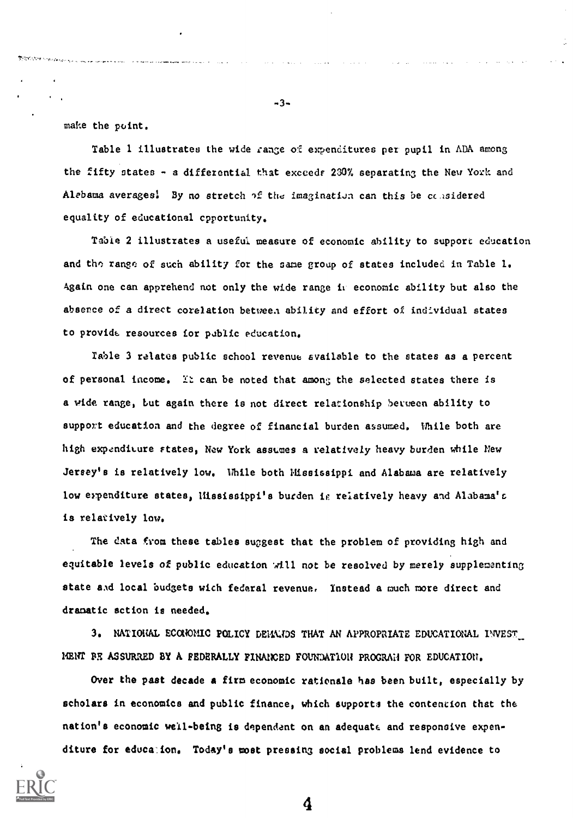make the paint.

.<br>1980-жылы алдардында күйтүрүшүн жана айтын аталган аталган. Ал тааны ал аланын кышка менен алган. Ал ал ал ал

Table 1 illustrates the wide range of expenditures per pupil in ADA among the fifty states - a differential that exceeds 230% separating the New York and Alebama averages! By no stretch of the imagination can this be considered equality of educational cpportunity.

Table 2 illustrates a useful measure of economic ability to support education and the range of such ability for the same group of states included in Table 1. Again one can apprehend not only the wide range imeconomic ability but also the abserce of a direct corelation betweea ability and effort of indlvidual states to provide resources for public education.

Table 3 relates public school revenue available to the states as a percent of personal income. It can be noted that among the selected states there is a vide range, but again there is not direct relationship between ability to support education and the degree of financial burden assumed. While both are high expanditure Ftates, New York asstmes a relatively heavy burden while New Jersey's is relatively low. Vhile both Mississippi and Alabama are relatively low expenditure states, Mississippi's burden is relatively heavy and Alabama's is relatively low.

The data from these tables suggest that the problem of providing high and equitable levels of public education  $x11$  not be resolved by merely supplementing state and local budgets with federal revenue. Instead a much more direct and dramatic action is needed.

3. NATIONAL ECONOMIC POLICY DEMANDS THAT AN APPROPRIATE EDUCATIONAL INVEST MENT PE ASSURRED BY A FEDERALLY FINANCED FOUNDATION PROGRAM FOR EDUCATION.

Over the past decade a firm economic rationale has been built, especially by scholars in economics and public finance, which supports the contention that the nation's economic well-being is dependant on an adequate and responsive expenditure for education. Today's most pressing social problems lend evidence to



-3-

market and all the

 $\sim$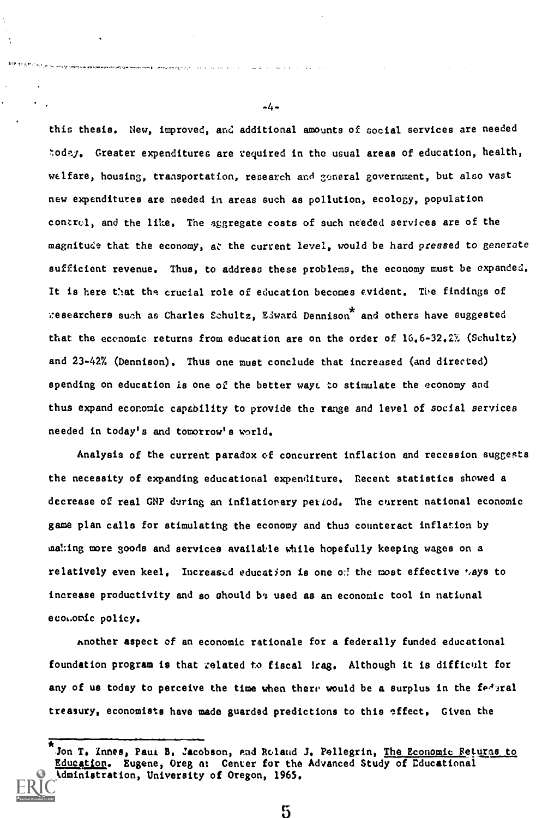this thesis. New, improved, and additional amounts of social services are needed todej, Greater expenditures are required in the usual areas of education, health, welfare, housing, transportation, research and 3eneral governzent, but also vast new expenditures are needed in areas such as pollution, ecology, population control, and the like. The aggregate costs of such needed services are of the magnitude that the economy, at the current level, would be hard pressed to generate sufficient revenue. Thus, to address these problems, the economy must be expanded. It is here that the crucial role of education becomes evident. The findings of ,:esearchere such as Charles Schultz, Edward Dennison\* and others have suggested that the economic returns from education are on the order of 16.6-32.2% (Schultz) and 23-42% (Dennison). Thus one must conclude that increased (and directed) spending on education is one of the better ways to stimulate the economy and thus expand economic capability to provide the range and level of social services needed in today's and tomorrow's world.

Analysis of the current paradox of concurrent inflation and recession suggests the necessity of expanding educational expenditure, Recent statistics showed a decrease of real GNP during an inflationary period. The current national economic game plan calls for stimulating the economy and thus counteract inflation by mal:ing more goods and services available while hopefully keeping wages on a relatively even keel. Increased education is one of the most effective  $\cdot$ ays to increase productivity and so should be used as an economic tool in natiunal ecok.omic policy.

another aspect of an economic rationale for a federally funded educational foundation program is that :elated to fiscal !rag. Although it is difficult for any of us today to perceive the time when there would be a surplus in the federal treasury, economists have made guarded predictions to this effect, Given the

-4-

.<br>2014 T.D. (1990/2014) with a the agency of the construction of the construction of the construction of the con

Jon T. Innes, Paul B. Jacobson, and Roland J. Pellegrin, The Economic Returns to Education. Eugene, Oreg a: Center for the Advanced Study of Educational Administration, University of Oregon, 1965.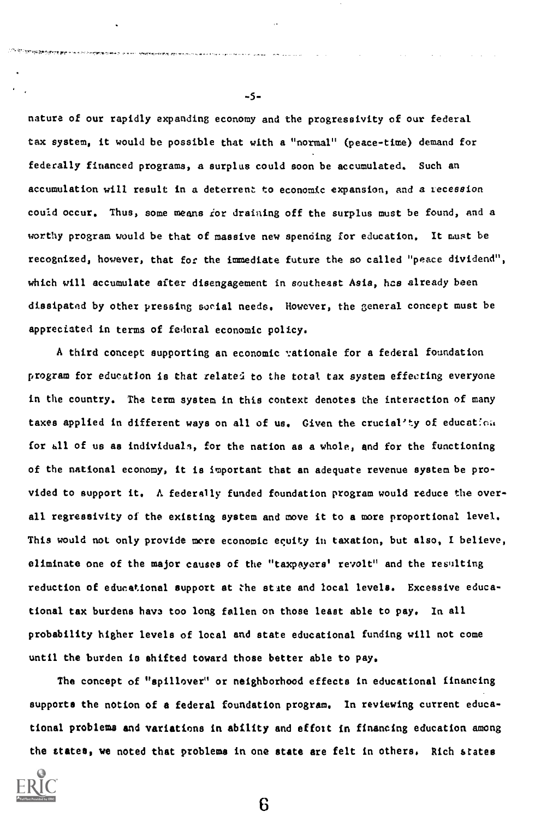nature of our rapidly expanding economy and the progressivity of our federal tax system, it would be possible that with a "normal" (peace-time) demand for federally financed programs, a surplus could soon be accumulated. Such an accumulation will result in a deterrent to economic expansion, and a recession couid occur. Thus, some means for draining off the surplus must be found, and a worthy program would be that of massive new spending for education. It must be recognized, however, that for the immediate future the so called "peace dividend", which will accumulate after disengagement in southeast Asia, has already been dissipated by other pressing sooial needs. However, the general concept must be appreciated in terms of federal economic policy.

A third concept supporting an economic rationale for a federal foundation program for education is that related to the total tax system effecting everyone in the country. The term system in this context denotes the interaction of many taxes applied in different ways on all of us. Given the crucial'ty of education for all of us as individuals, for the nation as a whole, and for the functioning of the national economy, it is important that an adequate revenue system be provided to support it. A federally funded foundation program would reduce the overall regreseivity of the existing system and move it to a more proportional level. This would not only provide more economic equity in taxation, but also, I believe, eliminate one of the major causes of the "taxpayers' revolt" and the resulting reduction of educational support at the state and local levels. Excessive educational tax burdens hava too long fallen on those least able to pay. In all probability higher levels of local and state educational funding will not come until the burden io shifted toward those better able to pay.

The concept of "spillover" or neighborhood effects in educational financing supports the notion of a federal foundation program. In reviewing current educational problems and variations in ability and effort in financing education among the states, we noted that problems in one state are felt in others. Rich states

6



-5-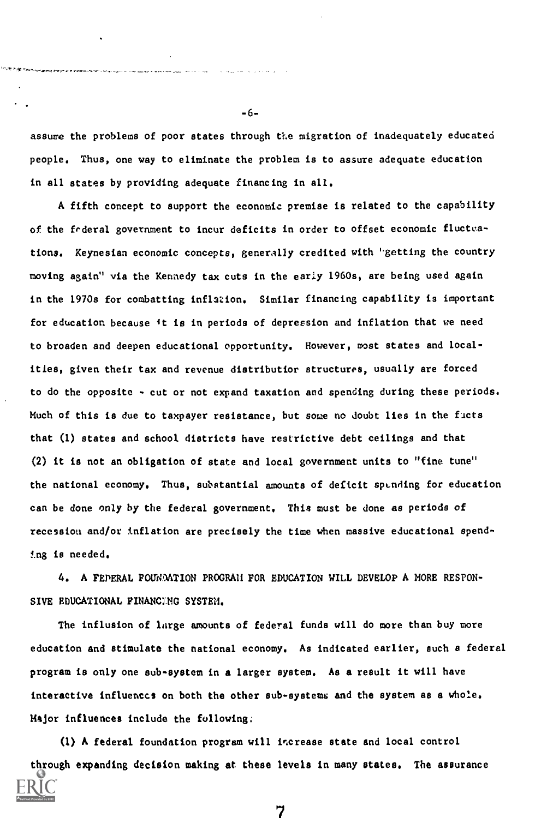assume the problems of poor states through the migration of inadequately educated people. Thus, one way to eliminate the problem is to assure adequate education in all states by providing adequate financing in all.

A fifth concept to support the economic premise is related to the capability of the federal government to incur deficits in order to offset economic fluctuations. Keynesian economic concepts, generally credited with "getting the country moving again" via the Kennedy tax cuts in the early 1960s, are being used again in the 1970s for combatting inflation. Similar financing capability is important for education because it is in periods of depression and inflation that we need to broaden and deepen educational opportunity. However, most states and localities, given their tax and revenue distributior structures, usually are forced to do the opposite  $\sim$  cut or not expand taxation and spending during these periods. Much of this is due to taxpayer resistance, but some no doubt lies in the facts that (1) states and school districts have restrictive debt ceilings and that (2) it is not an obligation of state and local government units to "fine tune" the national economy. Thus, substantial amounts of deficit spending for education can be done only by the federal government. This must be done as periods of recession and/or inflation are precisely the time when massive educational spending is needed.

4. A FEDERAL FOUN)ATION PROGRAM FOR EDUCATION WILL DEVELOP A MORE RESPON-SIVE EDUCATIONAL FINANCING SYSTEM.

The influsion of large amounts of federal funds will do more than buy more education and stimulate the national economy. As indicated earlier, such a federal program is only one sub-system in a larger system. As a result it will have interactive influences on both the other sub-systems and the system as a whole. Major influences include the following;

(1) A federal foundation program will increase state and local control through expanding decision making at these levels in many states. The assurance

7

-6-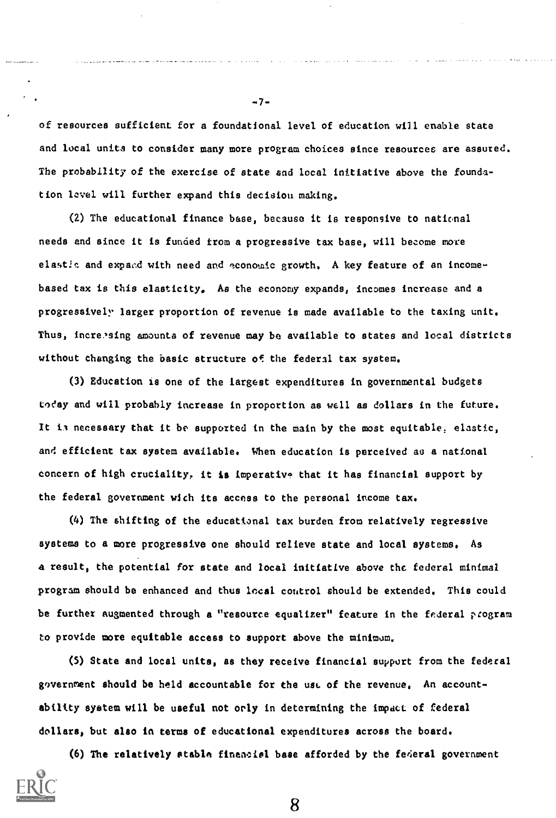of resources sufficient for a foundational level of education will enable state and local units to consider many more program choices since resources are assured. The probability of the exercise of state and local initiative above the foundation level will further expand this decision making.

(2) The educational finance base, because it is responsive to national needs and since it is funded from a progressive tax base, will become more elastic and expacd with need and economic growth. A key feature of an incomebased tax is this elasticity. As the economy expands, incomes increase and a progressively larger proportion of revenue is made available to the taxing unit. Thus, increesing amounts of revenue may be available to states and local districts without changing the basic structure of the federal tax system.

(3) Education is one of the largest expenditures in governmental budgets today and will probably increase in proportion as well as dollars in the future. It is necessary that it be supported in the main by the most equitable, elastic, and efficient tax system available. When education is perceived as a national concern of high cruciality, it is imperative that it has financial support by the federal government wich its access to the personal income tax.

(4) The shifting of the educational tax burden from relatively regressive systems to a more progressive one should relieve state and local systems. As a result, the potential for state and local initiative above the federal minimal program should be enhanced and thus local control should be extended. This could be further augmented through a "resource equalizer" feature in the federal program to provide more equitable access to support above the minimum.

(5) State and local units, as they receive financial support from the federal government should be held accountable for the usu of the revenue. An accountability system will be useful not only in determining the impact of federal dollars, but also in terms of educational expenditures across the board.

(6) The relatively stable financial base afforded by the federal government

-7-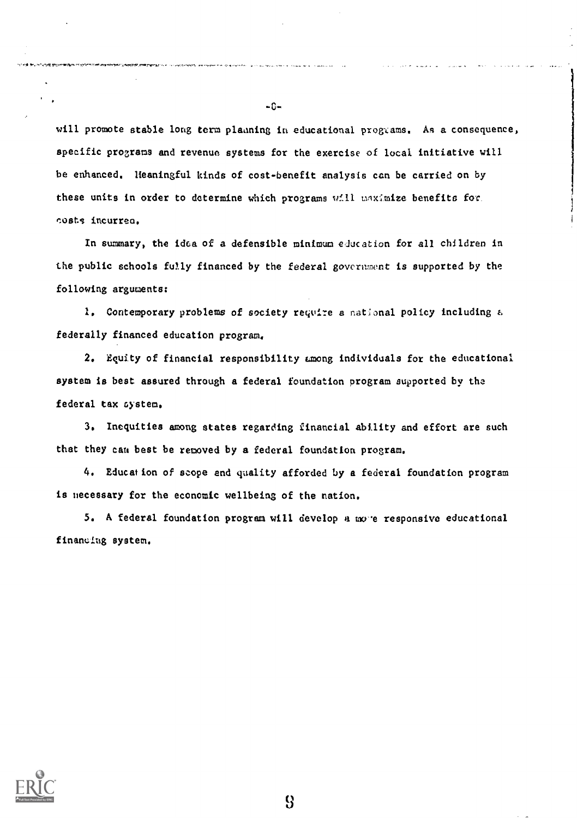will promote stable long term plaaning in educational programs. As a consequence, specific programs and revenue systems for the exercise of local initiative will be enhanced. Heaningful kinds of cost-benefit analysis can be carried on by these units in order to determine which programs will maximize benefits for. eosts incurren.

In summary, the idea of a defensible minimum education for all children in the public schools fully financed by the federal government is supported by the following arguments:

1. Contemporary problems of society require a national policy including a federally financed education program.

2. Equity of financial responsibility among individuals for the educational system is best assured through a federal foundation program supported by the federal tax system.

3. Inequities among states regarding financial ability and effort are such that they can best be removed by a federal foundation program.

4. Education of scope and quality afforded by a federal foundation program is necessary for the economic wellbeing of the nation.

5. A federal foundation program will develop a more responsive educational financing system.

8



 $-6-$